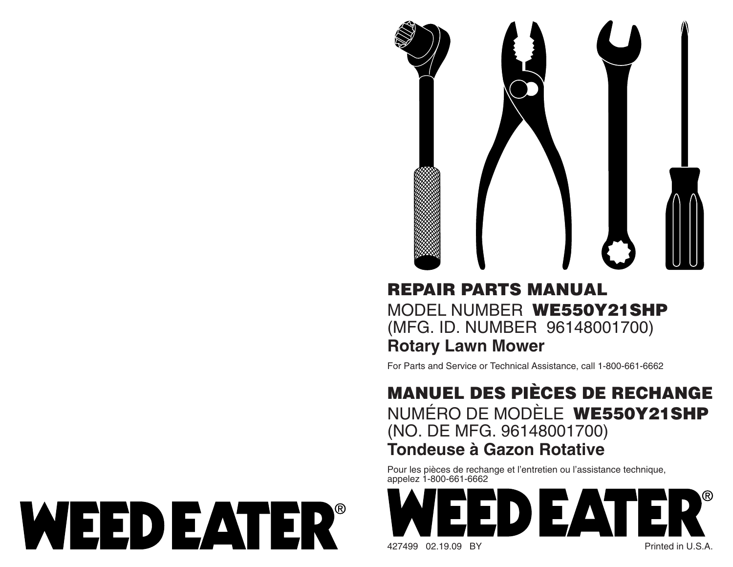

# **REPAIR PARTS MANUAL**MODEL NUMBER **WE550Y21SHP** (MFG. ID. NUMBER 96148001700) **Rotary Lawn Mower**

For Parts and Service or Technical Assistance, call 1-800-661-6662

## **MANUEL DES PIÈCES DE RECHANGE** NUMÉRO DE MODÈLE **WE550Y21SHP** (NO. DE MFG. 96148001700) **Tondeuse à Gazon Rotative**

Pour les pièces de rechange et l'entretien ou l'assistance technique, appelez 1-800-661-6662



WEED EATER®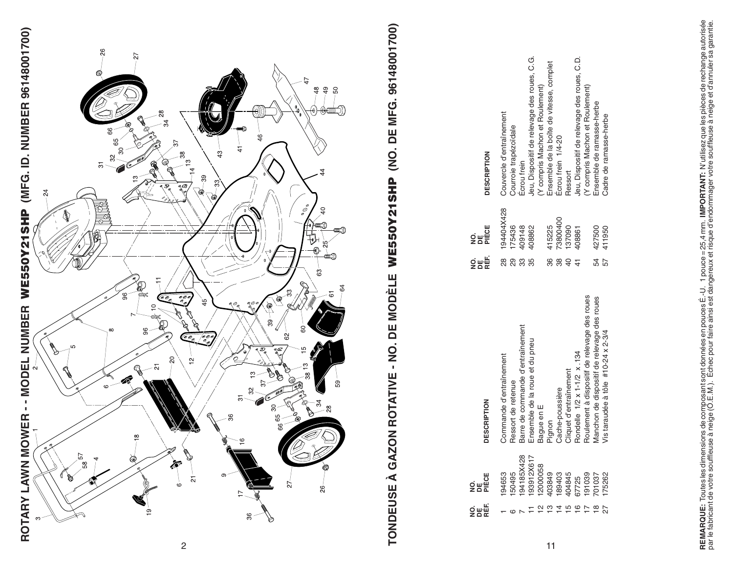



2

# **WE550Y21SHP (NO. DE MFG. 96148001700)**

|                                                                  | <b>DESCRIPTION</b>      | Couvercle d'entraînement | Courroie trapézoïdale | Ecrou frein                      | Jeu, Dispositif de relevage des roues, C.G. | (Y compris Machon et Roulement) | Ensemble de la boîte de vitesse, complet | Ecrou frein 1/4-20 | Ressort                | Jeu, Dispositif de relevage des roues, C.D. | (Y compris Machon et Roulement)               | Ensemble de ramasse-herbe                   | Cadre de ramasse-herbe                    |
|------------------------------------------------------------------|-------------------------|--------------------------|-----------------------|----------------------------------|---------------------------------------------|---------------------------------|------------------------------------------|--------------------|------------------------|---------------------------------------------|-----------------------------------------------|---------------------------------------------|-------------------------------------------|
|                                                                  | 망<br>오늘<br>오늘           | 194404X428               | 175436                | 409148                           | 408862                                      |                                 | 415225                                   | 73800400           | 137090                 | 408861                                      |                                               | 427500                                      | 411950                                    |
|                                                                  | ៜឝ<br>ឨ                 | <u>ಇ</u>                 | 88                    | 33                               | 35                                          |                                 | 86                                       | 88                 | $\overline{6}$         |                                             |                                               | 54                                          | 57                                        |
| ZON ROTATIVE - NO. DE MODÈLE WE550Y21SHP (NO. DE MFG. 9614800170 | <b>DESCRIPTION</b>      | Commande d'entraînement  | Ressort de retenue    | Barre de commande d'entraînement | Ensemble de la roue et du pneu              | Bague en E                      | Pignon                                   | Cache-poussière    | Cliquet d'entraînement | Rondelle 1/2 x 1-1/2 x 134                  | Roulement à dispositif de relevage des roues  | Manchon de dispositif de relevage des roues | Vis taraudée à tôle $#10-24 \times 2-3/4$ |
| TONDEUSE À GA                                                    | 요.<br>오<br>오<br>오<br>모든 | 194653                   | 50495                 | 94185X428                        | 193912X617                                  | 2000058                         |                                          |                    |                        |                                             | 403849<br>189403<br>404845<br>67725<br>191039 | 701037                                      | 175262                                    |
|                                                                  | ទិគង្គ                  |                          |                       |                                  |                                             | $\overline{\mathbf{C}}$         | ഇ                                        | $\overline{4}$     | ம                      | $\overline{6}$                              | $\overline{1}$                                | $\frac{\infty}{2}$                          |                                           |
|                                                                  |                         |                          |                       |                                  |                                             |                                 | 11                                       |                    |                        |                                             |                                               |                                             |                                           |

 $11$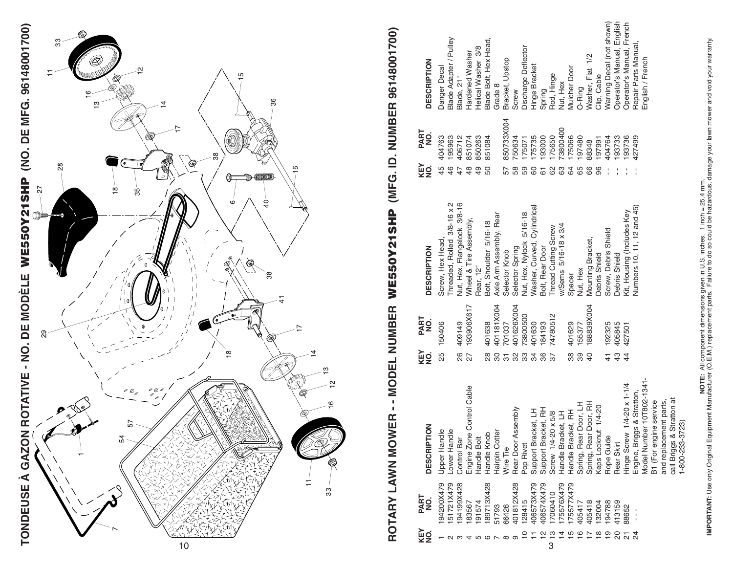

# ROTARY LAWN MOWER - - MODEL NUMBER WE550Y21SHP (MFG. ID. NUMBER 96148001700) **ROTARY LAWN MOWER - - MODEL NUMBER WE550Y21SHP (MFG. ID. NUMBER 96148001700)**

| <b>DESCRIPTION</b><br>PART<br>NO.<br>KEY<br>NO.<br><b>DESCRIPTION</b><br>PART<br>NO.<br>KEY<br>g<br><b>DESCRIPTION</b> | Danger Decal<br>404763<br>45<br>Screw, Hex Head,<br>150406<br>25<br>$\overline{\mathsf{e}}$<br>Upper Hand | Blade Adapter / Pulley<br>195963<br>46<br>Threaded, Rolled 3/8-16 x 2<br>$\Omega$<br>-ower Hand | Blade, 21"<br>406712<br>47<br>Nut, Hex, Flangelock 3/8-16<br>409149<br>86<br>Control Bar | Hardened Washer<br>851074<br>48<br>Wheel & Tire Assembly,<br>193906X617<br>27<br>Engine Zone Control Cable | Helical Washer 3/8<br>850263<br>49<br>Rear, 12"<br>Handle Bolt | Blade Bolt, Hex Head,<br>851084<br>50<br>Bolt, Shoulder 5/16-18<br>401638<br>28<br>Handle Knob | Grade 8<br>Axle Arm Assembly, Rear<br>401181X004<br>80<br>Hairpin Cotter | Bracket, Upstop<br>850733X004<br>57<br>Selector Knob<br>701037<br>Wire Tie | Screw<br>750634<br>58<br>Selector Spring<br>401626X004<br>Rear Door Assembly | Discharge Deflector<br>175071<br>59<br>Nut, Hex, Nylock 5/16-18<br>73800500<br>ಜ ಜ<br>Pop Rivet | Hinge Bracket<br>175735<br>60<br>Washer, Curved, Cylindrical<br>401630<br>ನ<br>Support Bracket, LH | Spring<br>193000<br>61<br>Bolt, Rear Door<br>184193<br>86<br>Support Bracket, RH | Rod, Hinge<br>175650<br>8<br>Thread Cutting Screw<br>74780512<br>$\overline{37}$<br>Screw 1/4-20 x 5/8 | Nut, Hex<br>73800400<br>යි<br>w/Sems 5/16-18 x 3/4<br>Handle Bracket, LH                                                                                                        | Mulcher Door<br>175066<br>\$<br>Spacer<br>401629<br>38<br>Handle Bracket, RH | O-Ring<br>197480<br>65<br>Nut, Hex<br>155377<br>39<br>Spring, Rear Door, LH | Washer, Flat 1/2<br>88348<br>89<br>Mounting Bracket,<br>188839X004<br>$\overline{40}$<br>Spring, Rear Door, RH | Clip, Cable<br>197991<br><b>Debris Shield</b><br>Keps Locknut 1/4-20 | Warning Decal (not shown)<br>404764<br>Screw, Debris Shield<br>192325<br>$\frac{4}{1}$<br>Rope Guide | Operator's Manual, English<br>193733<br>Debris Shield<br>405845<br>43<br>Rear Skirt | Operator's Manual, French<br>193736<br>Kit, Housing (Includes Key<br>427501<br>$\overline{4}$<br>Hinge Screw 1/4-20 x 1-1/4 | Repair Parts Manual,<br>427499<br>Numbers 10, 11, 12 and 45)<br>Engine, Briggs & Stratton, | English / French<br>Model Number 10T802-1341- | B1 (For engine service | and replacement parts, | Stratton at<br>1-800-233-3723)<br>call Briggs & |  |
|------------------------------------------------------------------------------------------------------------------------|-----------------------------------------------------------------------------------------------------------|-------------------------------------------------------------------------------------------------|------------------------------------------------------------------------------------------|------------------------------------------------------------------------------------------------------------|----------------------------------------------------------------|------------------------------------------------------------------------------------------------|--------------------------------------------------------------------------|----------------------------------------------------------------------------|------------------------------------------------------------------------------|-------------------------------------------------------------------------------------------------|----------------------------------------------------------------------------------------------------|----------------------------------------------------------------------------------|--------------------------------------------------------------------------------------------------------|---------------------------------------------------------------------------------------------------------------------------------------------------------------------------------|------------------------------------------------------------------------------|-----------------------------------------------------------------------------|----------------------------------------------------------------------------------------------------------------|----------------------------------------------------------------------|------------------------------------------------------------------------------------------------------|-------------------------------------------------------------------------------------|-----------------------------------------------------------------------------------------------------------------------------|--------------------------------------------------------------------------------------------|-----------------------------------------------|------------------------|------------------------|-------------------------------------------------|--|
|                                                                                                                        |                                                                                                           |                                                                                                 |                                                                                          |                                                                                                            |                                                                |                                                                                                |                                                                          |                                                                            |                                                                              |                                                                                                 |                                                                                                    |                                                                                  |                                                                                                        |                                                                                                                                                                                 |                                                                              |                                                                             |                                                                                                                |                                                                      |                                                                                                      |                                                                                     |                                                                                                                             |                                                                                            |                                               |                        |                        |                                                 |  |
| PART<br>g                                                                                                              | 94200X479                                                                                                 | 51721X479                                                                                       | 94199X428                                                                                | 183567                                                                                                     | 91574                                                          | 89713X428                                                                                      | 51793                                                                    | 66426                                                                      | 401812X428                                                                   | 128415                                                                                          | 406573X479                                                                                         | 406574X479                                                                       | 7060410                                                                                                | 75576X479                                                                                                                                                                       | 75577X479                                                                    | 405417                                                                      | 405418                                                                                                         | 132004                                                               | 194788                                                                                               | 113159                                                                              | 88652                                                                                                                       | Í                                                                                          |                                               |                        |                        |                                                 |  |
| €ā<br>≌                                                                                                                |                                                                                                           |                                                                                                 |                                                                                          |                                                                                                            | <u> ဟ</u> ထ                                                    |                                                                                                | $\sim$                                                                   | $\infty$                                                                   | $\sigma$                                                                     | $\overline{C}$                                                                                  |                                                                                                    | $\frac{1}{2}$                                                                    | $\frac{3}{3}$                                                                                          | $\begin{array}{ccccccccc}\n\hline\n\uparrow & \hline\n\downarrow & \hline\n\end{array} \begin{array}{ccccccccc}\n\hline\n\downarrow & \hline\n\downarrow & \hline\n\end{array}$ |                                                                              |                                                                             |                                                                                                                | _ഇ _                                                                 |                                                                                                      | 20                                                                                  | 24                                                                                                                          |                                                                                            |                                               |                        |                        |                                                 |  |

**MPORTANT:** Use only Original Equipment Manufacturer (O.E.M.) replacement of mates. Failure to do so could be hazardous, damage your lawn mower and void your warranty.<br>IMPORTANT: Use only Original Equipment Manufacturer (O **IMPORTANT:** Use only Original Equipment Manufacturer (O.E.M.) replacement parts. Failure to do so could be hazardous, damage your lawn mower and void your warranty. **NOTE:** All component dimensions given in U.S. inches. 1 inch = 25.4 mm.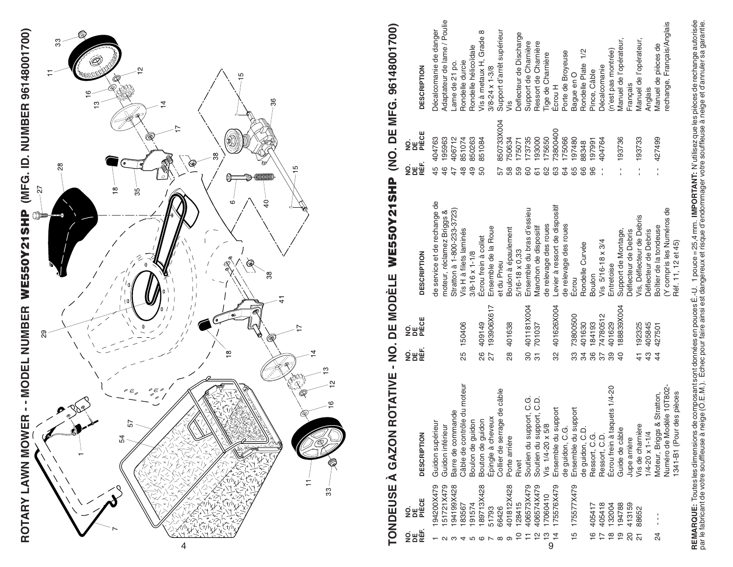

# 961480017001 **WE550Y21SHP (NO. DE MFG. 96148001700) DE MEG ON**  $\frac{1}{3}$ WF550V21 **TONDEUSE À GAZON ROTATIVE - NO. DE MODÈLE**  Щ DE MODÈI  $\overline{2}$ TONDEUSE À GAZON ROTATIVE

| Adaptateur de lame / Poulie<br>rechange, Français/Anglais<br>Décalcomanie de danger<br>Support d'arrêt supérieur<br>Vis à metaux H, Grade 8<br>Deflecteur de Discharge<br>Manuel de l'opérateur,<br>Manuel de l'opérateur,<br>Support de Charnière<br>Ressort de Charnière<br>Manuel de pièces de<br>Rondelle hélicoïdale<br>1/2<br>(n'est pas montrée)<br>Porte de Broyeuse<br>Tige de Charnière<br>Rondelle durcie<br>Rondelle Plate<br>Lame de 21 po.<br>Décalcomanie<br><b>DESCRIPTION</b><br>$3/8 - 24 \times 1 - 3/8$<br>Pince, Câble<br>Bague en O<br>Français<br>Ecrou H<br>Anglais<br>vis<br>850733X004<br>73800400<br>175650<br>175066<br>$-427499$<br>45 404763<br>850263<br>173735<br>193000<br>197480<br>$-193736$<br>195963<br>406712<br>851074<br>851084<br>193733<br>750634<br>404764<br>175071<br>197991<br>88348<br>.<br>오늘<br>모든<br>47.<br>46<br>$\frac{1}{4}$<br>48<br>58<br>96<br>50<br>59<br>65<br>66<br>ţ<br>57<br>80<br>82<br>63<br>$\mathfrak{g}$<br>61<br>de service et de rechange de<br>Levier à ressort de dispositif<br>(Y compris les Numéros de<br>Ensemble du bras d'essieu<br>Stratton à 1-800-233-3723)<br>moteur, réclamez Briggs &<br>Vis, Déflecteur de Debris<br>de relevage des roues<br>de relevage des roues<br>Boîtier de la tondeuse<br>Ensemble de la Roue<br>Manchon de dispositif<br>Boulon à épaulement<br>Vis H à filets laminés<br>Support de Montage,<br>Déflecteur de Debris<br>Déflecteur de Debris<br>Écrou frein à collet<br>Vis 5/16-18 x 3/4<br>Réf. 11, 12 et 45)<br>Rondelle Curvée<br>5/16-18 x 0,33<br>$3/8 - 16 \times 1 - 1/8$<br><b>DESCRIPTION</b><br>et du Pneu<br>Entretoise<br><b>Boulon</b><br>Ecrou<br>401181X004<br>401626X004<br>193906X617<br>188839X004<br>73800500<br>74780512<br>26 409149<br>184193<br>401629<br>25 150406<br>28 401638<br>401630<br>192325<br>405845<br>701037<br>427501<br>ទិ <sup>ធ</sup> វក្ត<br>តិ<br>27<br>8<br>$\frac{3}{4}$<br>32<br>က္တ<br>51<br>34<br>$\overline{4}$<br>$\overline{40}$<br>36<br>$\overline{37}$<br>39<br>$\frac{4}{1}$<br>Câble de contrôle du moteur<br>Numéro de Modèle 10T802-<br>aquets 1/4-20<br>age de câble<br>des pièces<br>Moteur, Briggs & Stratton,<br>ipport, C.G.<br>Ipport, C.D.<br>Ensemble du support<br>de guidon, C.G.<br>Ensemble du support<br>de guidon, C.D.<br>mande<br>Epingle à cheveux<br>Boulon de guidon<br>Bouton de guidon<br>eur<br>Vis 1/4-20 x 5/8<br>Vis de chamière<br>Guidon inférieur<br>Guide de câble<br>1341-B1 (Pou<br>Guidon supéri<br>Barre de com<br>Soutien du su<br>Ressort, C.G.<br>Écrou frein à t<br>$1/4 - 20 \times 1 - 1/4$<br><b>DESCRIPTION</b><br>Collier de serr<br>Soutien du su<br>Ressort, C.D.<br>Porte arrière<br>Jupe arrière<br>Rivet<br>175577X479<br>94200X479<br>I51721X479<br>94199X428<br>:428<br>401812X428<br>406573X479<br>406574X479<br>I75576X479<br>7060410<br>89713X<br>یا<br>Sue<br>Sue<br>128415<br>91574<br>405418<br>194788<br>413159<br>132004<br>183567<br>405417<br>51793<br>66426<br>88652 | 9 프로<br>이 프로 |  |                       |  |                  |  |
|-------------------------------------------------------------------------------------------------------------------------------------------------------------------------------------------------------------------------------------------------------------------------------------------------------------------------------------------------------------------------------------------------------------------------------------------------------------------------------------------------------------------------------------------------------------------------------------------------------------------------------------------------------------------------------------------------------------------------------------------------------------------------------------------------------------------------------------------------------------------------------------------------------------------------------------------------------------------------------------------------------------------------------------------------------------------------------------------------------------------------------------------------------------------------------------------------------------------------------------------------------------------------------------------------------------------------------------------------------------------------------------------------------------------------------------------------------------------------------------------------------------------------------------------------------------------------------------------------------------------------------------------------------------------------------------------------------------------------------------------------------------------------------------------------------------------------------------------------------------------------------------------------------------------------------------------------------------------------------------------------------------------------------------------------------------------------------------------------------------------------------------------------------------------------------------------------------------------------------------------------------------------------------------------------------------------------------------------------------------------------------------------------------------------------------------------------------------------------------------------------------------------------------------------------------------------------------------------------------------------------------------------------------------------------------------------------------------------------------------------------------------------------------------------------------------------------------------------------------------------------------------------------------------------------------------------------------------------------------------------------------|--------------|--|-----------------------|--|------------------|--|
|                                                                                                                                                                                                                                                                                                                                                                                                                                                                                                                                                                                                                                                                                                                                                                                                                                                                                                                                                                                                                                                                                                                                                                                                                                                                                                                                                                                                                                                                                                                                                                                                                                                                                                                                                                                                                                                                                                                                                                                                                                                                                                                                                                                                                                                                                                                                                                                                                                                                                                                                                                                                                                                                                                                                                                                                                                                                                                                                                                                                       |              |  | 망<br>오<br>오<br>오<br>모 |  | 명이다.<br>이번<br>이번 |  |
|                                                                                                                                                                                                                                                                                                                                                                                                                                                                                                                                                                                                                                                                                                                                                                                                                                                                                                                                                                                                                                                                                                                                                                                                                                                                                                                                                                                                                                                                                                                                                                                                                                                                                                                                                                                                                                                                                                                                                                                                                                                                                                                                                                                                                                                                                                                                                                                                                                                                                                                                                                                                                                                                                                                                                                                                                                                                                                                                                                                                       |              |  |                       |  |                  |  |
|                                                                                                                                                                                                                                                                                                                                                                                                                                                                                                                                                                                                                                                                                                                                                                                                                                                                                                                                                                                                                                                                                                                                                                                                                                                                                                                                                                                                                                                                                                                                                                                                                                                                                                                                                                                                                                                                                                                                                                                                                                                                                                                                                                                                                                                                                                                                                                                                                                                                                                                                                                                                                                                                                                                                                                                                                                                                                                                                                                                                       |              |  |                       |  |                  |  |
|                                                                                                                                                                                                                                                                                                                                                                                                                                                                                                                                                                                                                                                                                                                                                                                                                                                                                                                                                                                                                                                                                                                                                                                                                                                                                                                                                                                                                                                                                                                                                                                                                                                                                                                                                                                                                                                                                                                                                                                                                                                                                                                                                                                                                                                                                                                                                                                                                                                                                                                                                                                                                                                                                                                                                                                                                                                                                                                                                                                                       |              |  |                       |  |                  |  |
|                                                                                                                                                                                                                                                                                                                                                                                                                                                                                                                                                                                                                                                                                                                                                                                                                                                                                                                                                                                                                                                                                                                                                                                                                                                                                                                                                                                                                                                                                                                                                                                                                                                                                                                                                                                                                                                                                                                                                                                                                                                                                                                                                                                                                                                                                                                                                                                                                                                                                                                                                                                                                                                                                                                                                                                                                                                                                                                                                                                                       |              |  |                       |  |                  |  |
|                                                                                                                                                                                                                                                                                                                                                                                                                                                                                                                                                                                                                                                                                                                                                                                                                                                                                                                                                                                                                                                                                                                                                                                                                                                                                                                                                                                                                                                                                                                                                                                                                                                                                                                                                                                                                                                                                                                                                                                                                                                                                                                                                                                                                                                                                                                                                                                                                                                                                                                                                                                                                                                                                                                                                                                                                                                                                                                                                                                                       |              |  |                       |  |                  |  |
|                                                                                                                                                                                                                                                                                                                                                                                                                                                                                                                                                                                                                                                                                                                                                                                                                                                                                                                                                                                                                                                                                                                                                                                                                                                                                                                                                                                                                                                                                                                                                                                                                                                                                                                                                                                                                                                                                                                                                                                                                                                                                                                                                                                                                                                                                                                                                                                                                                                                                                                                                                                                                                                                                                                                                                                                                                                                                                                                                                                                       |              |  |                       |  |                  |  |
|                                                                                                                                                                                                                                                                                                                                                                                                                                                                                                                                                                                                                                                                                                                                                                                                                                                                                                                                                                                                                                                                                                                                                                                                                                                                                                                                                                                                                                                                                                                                                                                                                                                                                                                                                                                                                                                                                                                                                                                                                                                                                                                                                                                                                                                                                                                                                                                                                                                                                                                                                                                                                                                                                                                                                                                                                                                                                                                                                                                                       |              |  |                       |  |                  |  |
|                                                                                                                                                                                                                                                                                                                                                                                                                                                                                                                                                                                                                                                                                                                                                                                                                                                                                                                                                                                                                                                                                                                                                                                                                                                                                                                                                                                                                                                                                                                                                                                                                                                                                                                                                                                                                                                                                                                                                                                                                                                                                                                                                                                                                                                                                                                                                                                                                                                                                                                                                                                                                                                                                                                                                                                                                                                                                                                                                                                                       |              |  |                       |  |                  |  |
|                                                                                                                                                                                                                                                                                                                                                                                                                                                                                                                                                                                                                                                                                                                                                                                                                                                                                                                                                                                                                                                                                                                                                                                                                                                                                                                                                                                                                                                                                                                                                                                                                                                                                                                                                                                                                                                                                                                                                                                                                                                                                                                                                                                                                                                                                                                                                                                                                                                                                                                                                                                                                                                                                                                                                                                                                                                                                                                                                                                                       |              |  |                       |  |                  |  |
|                                                                                                                                                                                                                                                                                                                                                                                                                                                                                                                                                                                                                                                                                                                                                                                                                                                                                                                                                                                                                                                                                                                                                                                                                                                                                                                                                                                                                                                                                                                                                                                                                                                                                                                                                                                                                                                                                                                                                                                                                                                                                                                                                                                                                                                                                                                                                                                                                                                                                                                                                                                                                                                                                                                                                                                                                                                                                                                                                                                                       |              |  |                       |  |                  |  |
|                                                                                                                                                                                                                                                                                                                                                                                                                                                                                                                                                                                                                                                                                                                                                                                                                                                                                                                                                                                                                                                                                                                                                                                                                                                                                                                                                                                                                                                                                                                                                                                                                                                                                                                                                                                                                                                                                                                                                                                                                                                                                                                                                                                                                                                                                                                                                                                                                                                                                                                                                                                                                                                                                                                                                                                                                                                                                                                                                                                                       |              |  |                       |  |                  |  |
|                                                                                                                                                                                                                                                                                                                                                                                                                                                                                                                                                                                                                                                                                                                                                                                                                                                                                                                                                                                                                                                                                                                                                                                                                                                                                                                                                                                                                                                                                                                                                                                                                                                                                                                                                                                                                                                                                                                                                                                                                                                                                                                                                                                                                                                                                                                                                                                                                                                                                                                                                                                                                                                                                                                                                                                                                                                                                                                                                                                                       |              |  |                       |  |                  |  |
|                                                                                                                                                                                                                                                                                                                                                                                                                                                                                                                                                                                                                                                                                                                                                                                                                                                                                                                                                                                                                                                                                                                                                                                                                                                                                                                                                                                                                                                                                                                                                                                                                                                                                                                                                                                                                                                                                                                                                                                                                                                                                                                                                                                                                                                                                                                                                                                                                                                                                                                                                                                                                                                                                                                                                                                                                                                                                                                                                                                                       |              |  |                       |  |                  |  |
|                                                                                                                                                                                                                                                                                                                                                                                                                                                                                                                                                                                                                                                                                                                                                                                                                                                                                                                                                                                                                                                                                                                                                                                                                                                                                                                                                                                                                                                                                                                                                                                                                                                                                                                                                                                                                                                                                                                                                                                                                                                                                                                                                                                                                                                                                                                                                                                                                                                                                                                                                                                                                                                                                                                                                                                                                                                                                                                                                                                                       |              |  |                       |  |                  |  |
|                                                                                                                                                                                                                                                                                                                                                                                                                                                                                                                                                                                                                                                                                                                                                                                                                                                                                                                                                                                                                                                                                                                                                                                                                                                                                                                                                                                                                                                                                                                                                                                                                                                                                                                                                                                                                                                                                                                                                                                                                                                                                                                                                                                                                                                                                                                                                                                                                                                                                                                                                                                                                                                                                                                                                                                                                                                                                                                                                                                                       |              |  |                       |  |                  |  |
|                                                                                                                                                                                                                                                                                                                                                                                                                                                                                                                                                                                                                                                                                                                                                                                                                                                                                                                                                                                                                                                                                                                                                                                                                                                                                                                                                                                                                                                                                                                                                                                                                                                                                                                                                                                                                                                                                                                                                                                                                                                                                                                                                                                                                                                                                                                                                                                                                                                                                                                                                                                                                                                                                                                                                                                                                                                                                                                                                                                                       |              |  |                       |  |                  |  |
|                                                                                                                                                                                                                                                                                                                                                                                                                                                                                                                                                                                                                                                                                                                                                                                                                                                                                                                                                                                                                                                                                                                                                                                                                                                                                                                                                                                                                                                                                                                                                                                                                                                                                                                                                                                                                                                                                                                                                                                                                                                                                                                                                                                                                                                                                                                                                                                                                                                                                                                                                                                                                                                                                                                                                                                                                                                                                                                                                                                                       |              |  |                       |  |                  |  |
|                                                                                                                                                                                                                                                                                                                                                                                                                                                                                                                                                                                                                                                                                                                                                                                                                                                                                                                                                                                                                                                                                                                                                                                                                                                                                                                                                                                                                                                                                                                                                                                                                                                                                                                                                                                                                                                                                                                                                                                                                                                                                                                                                                                                                                                                                                                                                                                                                                                                                                                                                                                                                                                                                                                                                                                                                                                                                                                                                                                                       |              |  |                       |  |                  |  |
|                                                                                                                                                                                                                                                                                                                                                                                                                                                                                                                                                                                                                                                                                                                                                                                                                                                                                                                                                                                                                                                                                                                                                                                                                                                                                                                                                                                                                                                                                                                                                                                                                                                                                                                                                                                                                                                                                                                                                                                                                                                                                                                                                                                                                                                                                                                                                                                                                                                                                                                                                                                                                                                                                                                                                                                                                                                                                                                                                                                                       |              |  |                       |  |                  |  |
|                                                                                                                                                                                                                                                                                                                                                                                                                                                                                                                                                                                                                                                                                                                                                                                                                                                                                                                                                                                                                                                                                                                                                                                                                                                                                                                                                                                                                                                                                                                                                                                                                                                                                                                                                                                                                                                                                                                                                                                                                                                                                                                                                                                                                                                                                                                                                                                                                                                                                                                                                                                                                                                                                                                                                                                                                                                                                                                                                                                                       |              |  |                       |  |                  |  |
|                                                                                                                                                                                                                                                                                                                                                                                                                                                                                                                                                                                                                                                                                                                                                                                                                                                                                                                                                                                                                                                                                                                                                                                                                                                                                                                                                                                                                                                                                                                                                                                                                                                                                                                                                                                                                                                                                                                                                                                                                                                                                                                                                                                                                                                                                                                                                                                                                                                                                                                                                                                                                                                                                                                                                                                                                                                                                                                                                                                                       |              |  |                       |  |                  |  |
|                                                                                                                                                                                                                                                                                                                                                                                                                                                                                                                                                                                                                                                                                                                                                                                                                                                                                                                                                                                                                                                                                                                                                                                                                                                                                                                                                                                                                                                                                                                                                                                                                                                                                                                                                                                                                                                                                                                                                                                                                                                                                                                                                                                                                                                                                                                                                                                                                                                                                                                                                                                                                                                                                                                                                                                                                                                                                                                                                                                                       |              |  |                       |  |                  |  |
|                                                                                                                                                                                                                                                                                                                                                                                                                                                                                                                                                                                                                                                                                                                                                                                                                                                                                                                                                                                                                                                                                                                                                                                                                                                                                                                                                                                                                                                                                                                                                                                                                                                                                                                                                                                                                                                                                                                                                                                                                                                                                                                                                                                                                                                                                                                                                                                                                                                                                                                                                                                                                                                                                                                                                                                                                                                                                                                                                                                                       |              |  |                       |  |                  |  |
|                                                                                                                                                                                                                                                                                                                                                                                                                                                                                                                                                                                                                                                                                                                                                                                                                                                                                                                                                                                                                                                                                                                                                                                                                                                                                                                                                                                                                                                                                                                                                                                                                                                                                                                                                                                                                                                                                                                                                                                                                                                                                                                                                                                                                                                                                                                                                                                                                                                                                                                                                                                                                                                                                                                                                                                                                                                                                                                                                                                                       |              |  |                       |  |                  |  |
|                                                                                                                                                                                                                                                                                                                                                                                                                                                                                                                                                                                                                                                                                                                                                                                                                                                                                                                                                                                                                                                                                                                                                                                                                                                                                                                                                                                                                                                                                                                                                                                                                                                                                                                                                                                                                                                                                                                                                                                                                                                                                                                                                                                                                                                                                                                                                                                                                                                                                                                                                                                                                                                                                                                                                                                                                                                                                                                                                                                                       |              |  |                       |  |                  |  |
|                                                                                                                                                                                                                                                                                                                                                                                                                                                                                                                                                                                                                                                                                                                                                                                                                                                                                                                                                                                                                                                                                                                                                                                                                                                                                                                                                                                                                                                                                                                                                                                                                                                                                                                                                                                                                                                                                                                                                                                                                                                                                                                                                                                                                                                                                                                                                                                                                                                                                                                                                                                                                                                                                                                                                                                                                                                                                                                                                                                                       |              |  |                       |  |                  |  |

REMARQUE: Toutes les dimensions de composant sont données en pouces É.-U. 1 pouce = 25,4 mm. IMPORTANT: N'utilisez que les pièces de rechange autorisée<br>par le fabricant de votre souffleuse à neige (O.E.M.). Échec pour fair **REMARQUE:** Toutes les dimensions de composant sont données en pouces É.-U. 1 pouce = 25,4 mm. **IMPORTANT:** N'utilisez que les pièces de rechange autorisée par le fabricant de votre souffleuse à neige (O.E.M.). Échec pour faire ainsi est dangereux et risque d'endommager votre souffleuse à neige et d'annuler sa garantie.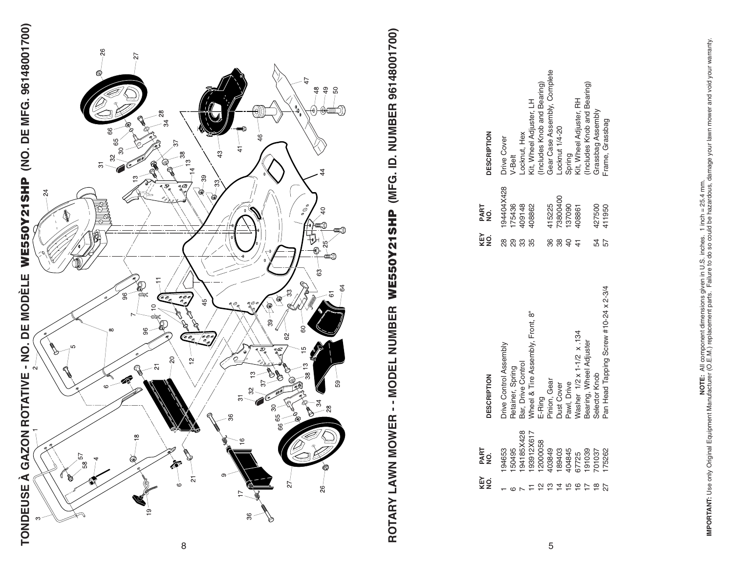



# ROTARY LAWN MOWER -- MODEL NUMBER WE550Y21SHP (MFG. ID. NUMBER 96148001700) **ROTARY LAWN MOWER - - MODEL NUMBER WE550Y21SHP (MFG. ID. NUMBER 96148001700)**

| KEY | PART<br>NO.      | DESCRIPTION                           | KEY<br>NO. | PART<br>NO. | <b>DESCRIPTION</b>           |
|-----|------------------|---------------------------------------|------------|-------------|------------------------------|
|     | 194653           | <b>Drive Control Assembly</b>         | ვ<br>გ     | 194404X428  | Drive Cover                  |
|     | 50495            | <b>Retainer, Spring</b>               | 8          | 75436       | /-Belt                       |
|     | 94185X428        | Bar, Drive Control                    |            | 109148      | Locknut, Hex                 |
|     | 93912X617        | Mheel & Tire Assembly, Front, 8"      |            | 108862      | Kit, Wheel Adjuster, LH      |
|     | 2000058          | E-Ring                                |            |             | Includes Knob and Bearing)   |
|     | 03849            | Pinion, Gear                          |            | 15225       | Gear Case Assembly, Complete |
|     |                  | <b>Dust Cover</b>                     |            | 73800400    | Locknut 1/4-20               |
|     | 189403<br>404845 | Pawl, Drive                           |            | 137090      | Spring                       |
|     | 7725             | Vasher 1/2 x 1-1/2 x 134              |            | 108861      | (it, Wheel Adjuster, RH      |
|     | 191039           | Bearing, Wheel Adjuster               |            |             | Includes Knob and Bearing)   |
| ≌   | 701037           | Selector Knob                         |            | 127500      | Grassbag Assembly            |
|     | 75262            | Pan Head Tapping Screw #10-24 x 2-3/4 |            | 11950       | rame, Grassbag               |
|     |                  |                                       |            |             |                              |

5